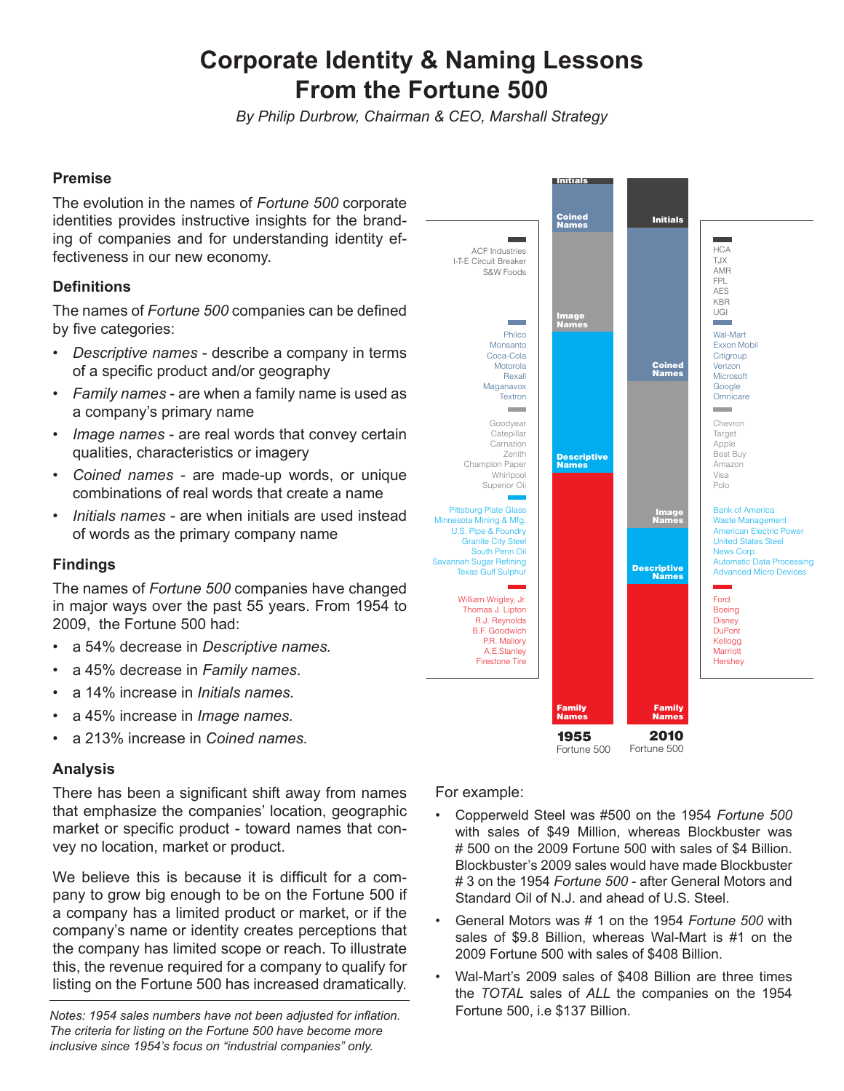# **Corporate Identity & Naming Lessons From the Fortune 500**

*By Philip Durbrow, Chairman & CEO, Marshall Strategy*

### **Premise**

The evolution in the names of *Fortune 500* corporate identities provides instructive insights for the branding of companies and for understanding identity effectiveness in our new economy.

## **Definitions**

The names of *Fortune 500* companies can be defined by five categories:

- *• Descriptive names* describe a company in terms of a specific product and/or geography
- *• Family names* are when a family name is used as a company's primary name
- *• Image names* are real words that convey certain qualities, characteristics or imagery
- *• Coined names* are made-up words, or unique combinations of real words that create a name
- *• Initials names* are when initials are used instead of words as the primary company name

#### **Findings**

The names of *Fortune 500* companies have changed in major ways over the past 55 years. From 1954 to 2009, the Fortune 500 had:

- a 54% decrease in *Descriptive names.*
- a 45% decrease in *Family names*.
- a 14% increase in *Initials names.*
- a 45% increase in *Image names.*
- a 213% increase in *Coined names.*

#### **Analysis**

There has been a significant shift away from names that emphasize the companies' location, geographic market or specific product - toward names that convey no location, market or product.

We believe this is because it is difficult for a company to grow big enough to be on the Fortune 500 if a company has a limited product or market, or if the company's name or identity creates perceptions that the company has limited scope or reach. To illustrate this, the revenue required for a company to qualify for listing on the Fortune 500 has increased dramatically.

*Notes: 1954 sales numbers have not been adjusted for inflation.* Fortune 500, i.e \$137 Billion. *The criteria for listing on the Fortune 500 have become more inclusive since 1954's focus on "industrial companies" only.*

For example:

- Copperweld Steel was #500 on the 1954 *Fortune 500*  with sales of \$49 Million, whereas Blockbuster was # 500 on the 2009 Fortune 500 with sales of \$4 Billion. Blockbuster's 2009 sales would have made Blockbuster # 3 on the 1954 *Fortune 500* - after General Motors and Standard Oil of N.J. and ahead of U.S. Steel.
- General Motors was # 1 on the 1954 *Fortune 500* with sales of \$9.8 Billion, whereas Wal-Mart is #1 on the 2009 Fortune 500 with sales of \$408 Billion.
- Wal-Mart's 2009 sales of \$408 Billion are three times the *TOTAL* sales of *ALL* the companies on the 1954



Fortune 500 Fortune 500